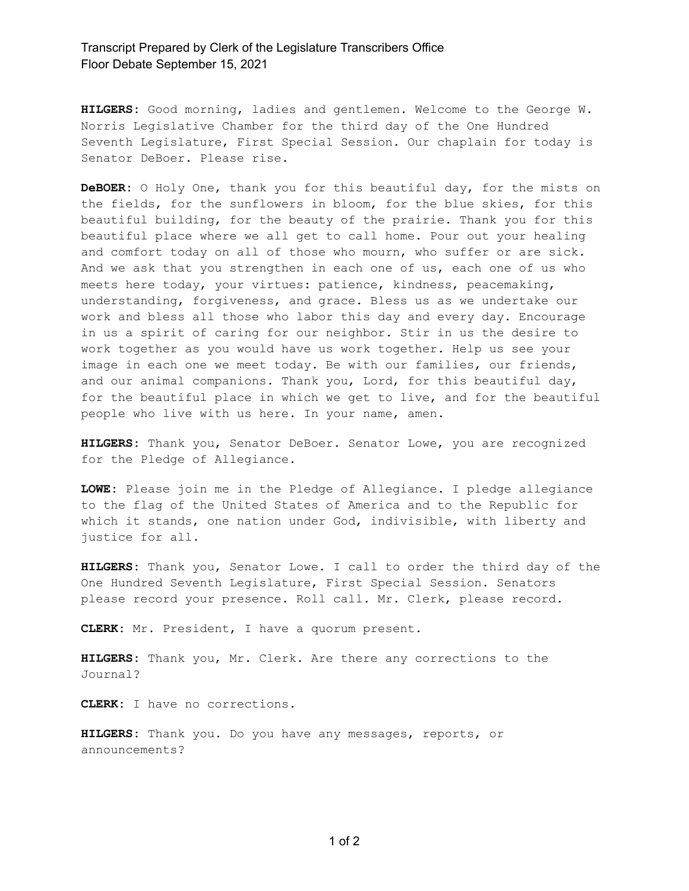## Transcript Prepared by Clerk of the Legislature Transcribers Office Floor Debate September 15, 2021

**HILGERS:** Good morning, ladies and gentlemen. Welcome to the George W. Norris Legislative Chamber for the third day of the One Hundred Seventh Legislature, First Special Session. Our chaplain for today is Senator DeBoer. Please rise.

**DeBOER:** O Holy One, thank you for this beautiful day, for the mists on the fields, for the sunflowers in bloom, for the blue skies, for this beautiful building, for the beauty of the prairie. Thank you for this beautiful place where we all get to call home. Pour out your healing and comfort today on all of those who mourn, who suffer or are sick. And we ask that you strengthen in each one of us, each one of us who meets here today, your virtues: patience, kindness, peacemaking, understanding, forgiveness, and grace. Bless us as we undertake our work and bless all those who labor this day and every day. Encourage in us a spirit of caring for our neighbor. Stir in us the desire to work together as you would have us work together. Help us see your image in each one we meet today. Be with our families, our friends, and our animal companions. Thank you, Lord, for this beautiful day, for the beautiful place in which we get to live, and for the beautiful people who live with us here. In your name, amen.

**HILGERS:** Thank you, Senator DeBoer. Senator Lowe, you are recognized for the Pledge of Allegiance.

**LOWE:** Please join me in the Pledge of Allegiance. I pledge allegiance to the flag of the United States of America and to the Republic for which it stands, one nation under God, indivisible, with liberty and justice for all.

**HILGERS:** Thank you, Senator Lowe. I call to order the third day of the One Hundred Seventh Legislature, First Special Session. Senators please record your presence. Roll call. Mr. Clerk, please record.

**CLERK:** Mr. President, I have a quorum present.

**HILGERS:** Thank you, Mr. Clerk. Are there any corrections to the Journal?

**CLERK:** I have no corrections.

**HILGERS:** Thank you. Do you have any messages, reports, or announcements?